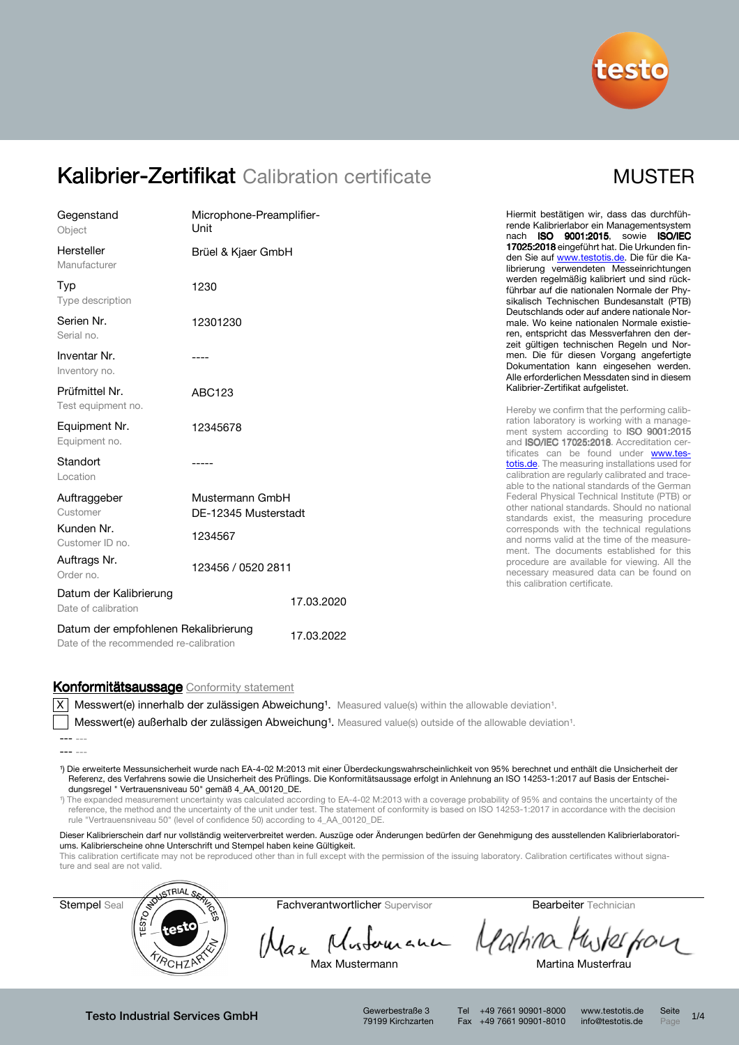

## Kalibrier-Zertifikat Calibration certificate

| <b>MUST</b> | ΈF |
|-------------|----|
|             |    |

| Gegenstand<br>Object                                                           | Microphone-Preamplifier-<br>Unit        | Hiermit bestätigen wir, dass das durchfüh-<br>rende Kalibrierlabor ein Managementsystem<br>nach ISO 9001:2015, sowie ISO/IEC                                                               |
|--------------------------------------------------------------------------------|-----------------------------------------|--------------------------------------------------------------------------------------------------------------------------------------------------------------------------------------------|
| Hersteller<br>Manufacturer                                                     | Brüel & Kjaer GmbH                      | 17025:2018 eingeführt hat. Die Urkunden fin-<br>den Sie auf www.testotis.de. Die für die Ka-<br>librierung verwendeten Messeinrichtungen                                                   |
| Typ<br>Type description                                                        | 1230                                    | werden regelmäßig kalibriert und sind rück-<br>führbar auf die nationalen Normale der Phy-<br>sikalisch Technischen Bundesanstalt (PTB)                                                    |
| Serien Nr.<br>Serial no.                                                       | 12301230                                | Deutschlands oder auf andere nationale Nor-<br>male. Wo keine nationalen Normale existie-<br>ren, entspricht das Messverfahren den der-<br>zeit gültigen technischen Regeln und Nor-       |
| Inventar Nr.<br>Inventory no.                                                  |                                         | men. Die für diesen Vorgang angefertigte<br>Dokumentation kann eingesehen werden.<br>Alle erforderlichen Messdaten sind in diesem                                                          |
| Prüfmittel Nr.                                                                 | ABC123                                  | Kalibrier-Zertifikat aufgelistet.                                                                                                                                                          |
| Test equipment no.<br>Equipment Nr.<br>Equipment no.                           | 12345678                                | Hereby we confirm that the performing calib-<br>ration laboratory is working with a manage-<br>ment system according to ISO 9001:2015<br>and ISO/IEC 17025:2018. Accreditation cer-        |
| Standort<br>Location                                                           |                                         | tificates can be found under www.tes-<br>totis.de. The measuring installations used for<br>calibration are regularly calibrated and trace-<br>able to the national standards of the German |
| Auftraggeber<br>Customer                                                       | Mustermann GmbH<br>DE-12345 Musterstadt | Federal Physical Technical Institute (PTB) or<br>other national standards. Should no national<br>standards exist, the measuring procedure                                                  |
| Kunden Nr.<br>Customer ID no.                                                  | 1234567                                 | corresponds with the technical regulations<br>and norms valid at the time of the measure-<br>ment. The documents established for this                                                      |
| Auftrags Nr.<br>Order no.                                                      | 123456 / 0520 2811                      | procedure are available for viewing. All the<br>necessary measured data can be found on<br>this calibration certificate.                                                                   |
| Datum der Kalibrierung<br>Date of calibration                                  | 17.03.2020                              |                                                                                                                                                                                            |
| Datum der empfohlenen Rekalibrierung<br>Date of the recommended re-calibration | 17.03.2022                              |                                                                                                                                                                                            |

### Konformitätsaussage Conformity statement

 $X$  Messwert(e) innerhalb der zulässigen Abweichung<sup>1</sup>. Measured value(s) within the allowable deviation<sup>1</sup>.

Messwert(e) außerhalb der zulässigen Abweichung<sup>1</sup>. Measured value(s) outside of the allowable deviation<sup>1</sup>.

¹) Die erweiterte Messunsicherheit wurde nach EA-4-02 M:2013 mit einer Überdeckungswahrscheinlichkeit von 95% berechnet und enthält die Unsicherheit der Referenz, des Verfahrens sowie die Unsicherheit des Prüflings. Die Konformitätsaussage erfolgt in Anlehnung an ISO 14253-1:2017 auf Basis der Entscheidungsregel " Vertrauensniveau 50" gemäß 4\_AA\_00120\_DE.

<sup>1</sup>) The expanded measurement uncertainty was calculated according to EA-4-02 M:2013 with a coverage probability of 95% and contains the uncertainty of the reference, the method and the uncertainty of the unit under test. The statement of conformity is based on ISO 14253-1:2017 in accordance with the decision rule "Vertrauensniveau 50" (level of confidence 50) according to 4\_AA\_00120\_DE.

Dieser Kalibrierschein darf nur vollständig weiterverbreitet werden. Auszüge oder Änderungen bedürfen der Genehmigung des ausstellenden Kalibrierlaboratoriums. Kalibrierscheine ohne Unterschrift und Stempel haben keine Gültigkeit.

This calibration certificate may not be reproduced other than in full except with the permission of the issuing laboratory. Calibration certificates without signature and seal are not valid.



Hax Mustomann Martina Musterform

Max Mustermann **Martina Musterfrau** 

Testo Industrial Services GmbH Gewerbestraße 3

79199 Kirchzarten

Tel +49 7661 90901-8000 www.testotis.de Seite 1/4 Fax +49 7661 90901-8010 info@testotis.de Page

<sup>---</sup> ---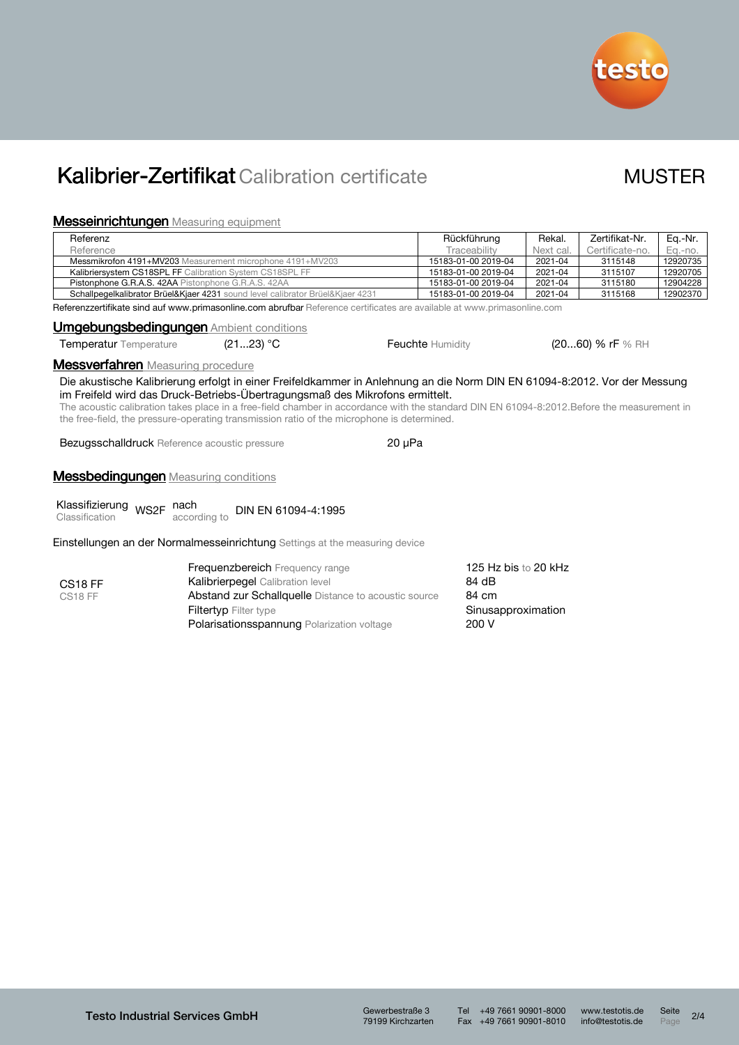

# Kalibrier-Zertifikat Calibration certificate MUSTER

## Messeinrichtungen Measuring equipment

|                                                                                               | lvioootii il iol italigoi luveasamig eqaipment                                                                                                                                                                                                                                                                                                                                                                                                         |  |                               |           |                    |          |  |  |
|-----------------------------------------------------------------------------------------------|--------------------------------------------------------------------------------------------------------------------------------------------------------------------------------------------------------------------------------------------------------------------------------------------------------------------------------------------------------------------------------------------------------------------------------------------------------|--|-------------------------------|-----------|--------------------|----------|--|--|
| Referenz                                                                                      |                                                                                                                                                                                                                                                                                                                                                                                                                                                        |  | Rückführung                   | Rekal.    | Zertifikat-Nr.     | Eq.-Nr.  |  |  |
| Reference                                                                                     |                                                                                                                                                                                                                                                                                                                                                                                                                                                        |  | Traceability                  | Next cal. | Certificate-no.    | Eq.-no.  |  |  |
| Messmikrofon 4191+MV203 Measurement microphone 4191+MV203                                     |                                                                                                                                                                                                                                                                                                                                                                                                                                                        |  | 15183-01-00 2019-04           | 2021-04   | 3115148            | 12920735 |  |  |
|                                                                                               | Kalibriersystem CS18SPL FF Calibration System CS18SPL FF                                                                                                                                                                                                                                                                                                                                                                                               |  | 15183-01-00 2019-04           | 2021-04   | 3115107            | 12920705 |  |  |
|                                                                                               | Pistonphone G.R.A.S. 42AA Pistonphone G.R.A.S. 42AA                                                                                                                                                                                                                                                                                                                                                                                                    |  | 15183-01-00 2019-04           | 2021-04   | 3115180            | 12904228 |  |  |
| Schallpegelkalibrator Brüel&Kjaer 4231 sound level calibrator Brüel&Kjaer 4231                |                                                                                                                                                                                                                                                                                                                                                                                                                                                        |  | 15183-01-00 2019-04           | 2021-04   | 3115168            | 12902370 |  |  |
|                                                                                               | Referenzzertifikate sind auf www.primasonline.com abrufbar Reference certificates are available at www.primasonline.com                                                                                                                                                                                                                                                                                                                                |  |                               |           |                    |          |  |  |
|                                                                                               | <b>Umgebungsbedingungen Ambient conditions</b>                                                                                                                                                                                                                                                                                                                                                                                                         |  |                               |           |                    |          |  |  |
|                                                                                               | (2123) °C<br>Temperatur Temperature                                                                                                                                                                                                                                                                                                                                                                                                                    |  | <b>Feuchte Humidity</b>       |           | $(2060)$ % rF % RH |          |  |  |
| <b>Messverfahren</b> Measuring procedure                                                      |                                                                                                                                                                                                                                                                                                                                                                                                                                                        |  |                               |           |                    |          |  |  |
|                                                                                               | Die akustische Kalibrierung erfolgt in einer Freifeldkammer in Anlehnung an die Norm DIN EN 61094-8:2012. Vor der Messung<br>im Freifeld wird das Druck-Betriebs-Übertragungsmaß des Mikrofons ermittelt.<br>The acoustic calibration takes place in a free-field chamber in accordance with the standard DIN EN 61094-8:2012. Before the measurement in<br>the free-field, the pressure-operating transmission ratio of the microphone is determined. |  |                               |           |                    |          |  |  |
| $20 \mu Pa$<br><b>Bezugsschalldruck</b> Reference acoustic pressure                           |                                                                                                                                                                                                                                                                                                                                                                                                                                                        |  |                               |           |                    |          |  |  |
| <b>Messbedingungen</b> Measuring conditions                                                   |                                                                                                                                                                                                                                                                                                                                                                                                                                                        |  |                               |           |                    |          |  |  |
| Klassifizierung <sub>WS2F</sub> nach<br>DIN EN 61094-4:1995<br>according to<br>Classification |                                                                                                                                                                                                                                                                                                                                                                                                                                                        |  |                               |           |                    |          |  |  |
|                                                                                               | Einstellungen an der Normalmesseinrichtung Settings at the measuring device                                                                                                                                                                                                                                                                                                                                                                            |  |                               |           |                    |          |  |  |
| CS <sub>18</sub> FF                                                                           | <b>Frequenzbereich</b> Frequency range<br><b>Kalibrierpegel</b> Calibration level                                                                                                                                                                                                                                                                                                                                                                      |  | 125 Hz bis to 20 kHz<br>84 dB |           |                    |          |  |  |

CS18 FF

Abstand zur Schallquelle Distance to acoustic source 84 cm Filtertyp Filter type **Sinusapproximation** Polarisationsspannung Polarization voltage 200 V

Tel +49 7661 90901-8000 www.testotis.de Seite 2/4 Fax +49 7661 90901-8010 info@testotis.de Page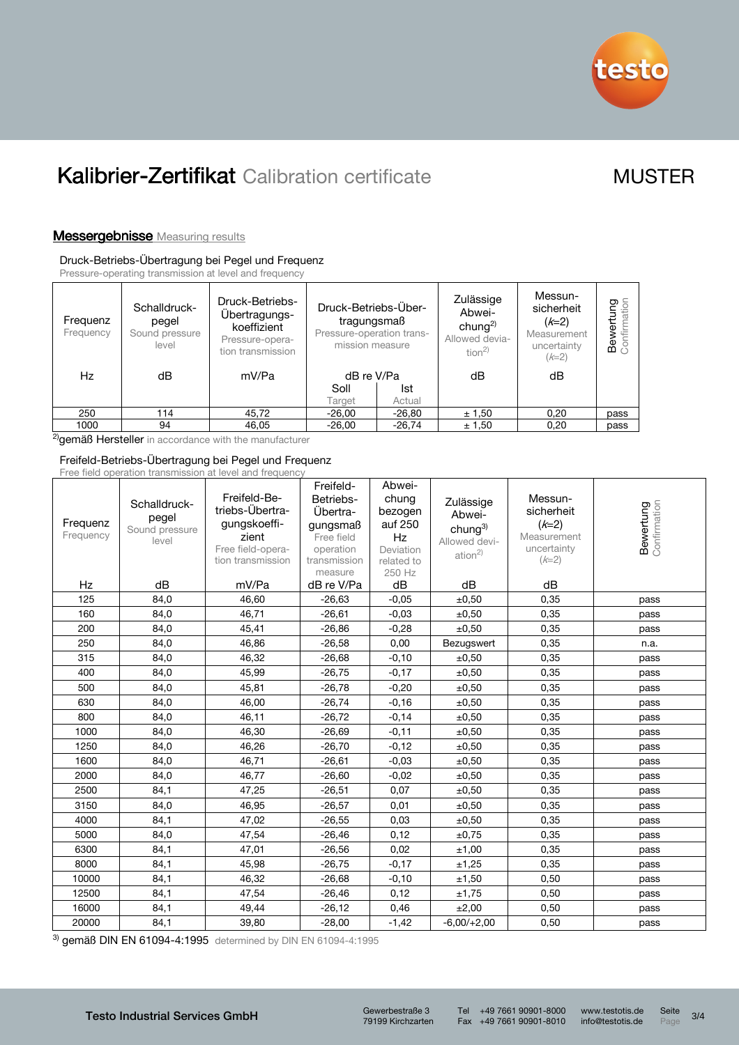

# Kalibrier-Zertifikat Calibration certificate MUSTER

## **Messergebnisse** Measuring results

### Druck-Betriebs-Übertragung bei Pegel und Frequenz

Pressure-operating transmission at level and frequency

| Frequenz<br>Frequency | Schalldruck-<br>pegel<br>Sound pressure<br>level | Druck-Betriebs-<br>Übertragungs-<br>koeffizient<br>Pressure-opera-<br>tion transmission | Druck-Betriebs-Über-<br>tragungsmaß<br>Pressure-operation trans-<br>mission measure |          |        |      | Zulässige<br>Abwei-<br>chung <sup>2)</sup><br>Allowed devia-<br>tion <sup>2</sup> | Messun-<br>sicherheit<br>$(k=2)$<br>Measurement<br>uncertainty<br>$(k=2)$ | wertung<br>စ် ငွဲ |
|-----------------------|--------------------------------------------------|-----------------------------------------------------------------------------------------|-------------------------------------------------------------------------------------|----------|--------|------|-----------------------------------------------------------------------------------|---------------------------------------------------------------------------|-------------------|
| Hz                    | dB                                               | mV/Pa                                                                                   | dB re V/Pa                                                                          |          | dB     | dB   |                                                                                   |                                                                           |                   |
|                       |                                                  |                                                                                         | Soll                                                                                | Ist      |        |      |                                                                                   |                                                                           |                   |
|                       |                                                  |                                                                                         | Target                                                                              | Actual   |        |      |                                                                                   |                                                                           |                   |
| 250                   | 114                                              | 45,72                                                                                   | $-26,00$                                                                            | $-26,80$ | ± 1,50 | 0,20 | pass                                                                              |                                                                           |                   |
| 1000                  | 94                                               | 46,05                                                                                   | $-26,00$                                                                            | $-26,74$ | ± 1,50 | 0,20 | pass                                                                              |                                                                           |                   |

<sup>2)</sup>gemäß Hersteller in accordance with the manufacturer

### Freifeld-Betriebs-Übertragung bei Pegel und Frequenz Free field operation transmission at level and frequency

| Frequenz<br>Frequency | Schalldruck-<br>pegel<br>Sound pressure<br>level | <u>LIUU IIUIU UPULULUIL LIULIUIIIUUIUII ULIUVULUIIU IIUUUUIIU</u><br>Freifeld-Be-<br>triebs-Übertra-<br>gungskoeffi-<br>zient<br>Free field-opera-<br>tion transmission | Freifeld-<br>Betriebs-<br>Übertra-<br>gungsmaß<br>Free field<br>operation<br>transmission<br>measure | Abwei-<br>chung<br>bezogen<br>auf 250<br>Hz<br>Deviation<br>related to<br>250 Hz | Zulässige<br>Abwei-<br>chung $3)$<br>Allowed devi-<br>ation <sup>2</sup> | Messun-<br>sicherheit<br>$(k=2)$<br>Measurement<br>uncertainty<br>$(k=2)$ | <b>Bewertung</b><br>Confirmation |
|-----------------------|--------------------------------------------------|-------------------------------------------------------------------------------------------------------------------------------------------------------------------------|------------------------------------------------------------------------------------------------------|----------------------------------------------------------------------------------|--------------------------------------------------------------------------|---------------------------------------------------------------------------|----------------------------------|
| Hz                    | dB                                               | mV/Pa                                                                                                                                                                   | dB re V/Pa                                                                                           | dB                                                                               | dB                                                                       | dB                                                                        |                                  |
| 125                   | 84,0                                             | 46,60                                                                                                                                                                   | $-26,63$                                                                                             | $-0.05$                                                                          | ±0,50                                                                    | 0,35                                                                      | pass                             |
| 160                   | 84,0                                             | 46.71                                                                                                                                                                   | $-26,61$                                                                                             | $-0.03$                                                                          | ±0,50                                                                    | 0,35                                                                      | pass                             |
| 200                   | 84,0                                             | 45,41                                                                                                                                                                   | $-26,86$                                                                                             | $-0,28$                                                                          | ±0,50                                                                    | 0,35                                                                      | pass                             |
| 250                   | 84,0                                             | 46,86                                                                                                                                                                   | $-26,58$                                                                                             | 0,00                                                                             | Bezugswert                                                               | 0,35                                                                      | n.a.                             |
| 315                   | 84,0                                             | 46,32                                                                                                                                                                   | $-26,68$                                                                                             | $-0,10$                                                                          | ±0,50                                                                    | 0,35                                                                      | pass                             |
| 400                   | 84,0                                             | 45,99                                                                                                                                                                   | $-26,75$                                                                                             | $-0,17$                                                                          | ±0,50                                                                    | 0,35                                                                      | pass                             |
| 500                   | 84,0                                             | 45,81                                                                                                                                                                   | $-26,78$                                                                                             | $-0,20$                                                                          | $\pm 0,50$                                                               | 0,35                                                                      | pass                             |
| 630                   | 84,0                                             | 46,00                                                                                                                                                                   | $-26,74$                                                                                             | $-0,16$                                                                          | ±0,50                                                                    | 0,35                                                                      | pass                             |
| 800                   | 84,0                                             | 46,11                                                                                                                                                                   | $-26,72$                                                                                             | $-0,14$                                                                          | ±0,50                                                                    | 0,35                                                                      | pass                             |
| 1000                  | 84,0                                             | 46,30                                                                                                                                                                   | $-26,69$                                                                                             | $-0,11$                                                                          | ±0,50                                                                    | 0,35                                                                      | pass                             |
| 1250                  | 84.0                                             | 46,26                                                                                                                                                                   | $-26,70$                                                                                             | $-0.12$                                                                          | ±0,50                                                                    | 0,35                                                                      | pass                             |
| 1600                  | 84,0                                             | 46,71                                                                                                                                                                   | $-26,61$                                                                                             | $-0.03$                                                                          | ±0,50                                                                    | 0,35                                                                      | pass                             |
| 2000                  | 84,0                                             | 46,77                                                                                                                                                                   | $-26,60$                                                                                             | $-0.02$                                                                          | ±0,50                                                                    | 0,35                                                                      | pass                             |
| 2500                  | 84,1                                             | 47,25                                                                                                                                                                   | $-26,51$                                                                                             | 0,07                                                                             | ±0,50                                                                    | 0,35                                                                      | pass                             |
| 3150                  | 84,0                                             | 46,95                                                                                                                                                                   | $-26,57$                                                                                             | 0,01                                                                             | ±0,50                                                                    | 0,35                                                                      | pass                             |
| 4000                  | 84,1                                             | 47,02                                                                                                                                                                   | $-26,55$                                                                                             | 0,03                                                                             | ±0,50                                                                    | 0,35                                                                      | pass                             |
| 5000                  | 84,0                                             | 47,54                                                                                                                                                                   | $-26,46$                                                                                             | 0,12                                                                             | ±0,75                                                                    | 0,35                                                                      | pass                             |
| 6300                  | 84,1                                             | 47,01                                                                                                                                                                   | $-26,56$                                                                                             | 0,02                                                                             | ±1,00                                                                    | 0,35                                                                      | pass                             |
| 8000                  | 84,1                                             | 45,98                                                                                                                                                                   | $-26,75$                                                                                             | $-0,17$                                                                          | ±1,25                                                                    | 0,35                                                                      | pass                             |
| 10000                 | 84,1                                             | 46,32                                                                                                                                                                   | $-26,68$                                                                                             | $-0,10$                                                                          | ±1,50                                                                    | 0,50                                                                      | pass                             |
| 12500                 | 84,1                                             | 47,54                                                                                                                                                                   | $-26,46$                                                                                             | 0,12                                                                             | ±1,75                                                                    | 0,50                                                                      | pass                             |
| 16000                 | 84,1                                             | 49,44                                                                                                                                                                   | $-26,12$                                                                                             | 0,46                                                                             | ±2,00                                                                    | 0,50                                                                      | pass                             |
| 20000                 | 84,1                                             | 39,80                                                                                                                                                                   | $-28,00$                                                                                             | $-1,42$                                                                          | $-6,00/+2,00$                                                            | 0,50                                                                      | pass                             |

3) gemäß DIN EN 61094-4:1995 determined by DIN EN 61094-4:1995

79199 Kirchzarten

Tel +49 7661 90901-8000 www.testotis.de Seite 3/4 Fax +49 7661 90901-8010 info@testotis.de Page